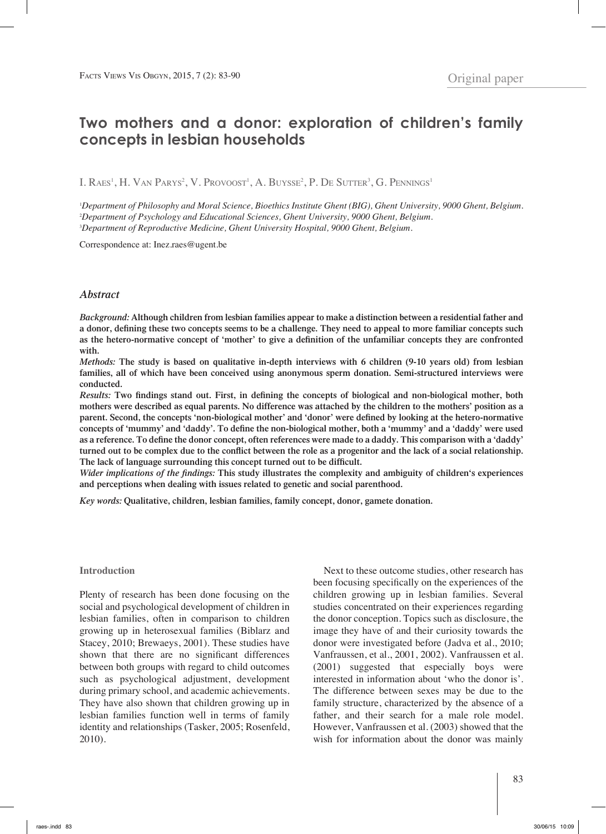# **Two mothers and a donor: exploration of children's family concepts in lesbian households**

 $\rm I. \, R$ aes<sup>1</sup>, H. Van Parys<sup>2</sup>, V. Provoost<sup>1</sup>, A. Buysse<sup>2</sup>, P. De Sutter<sup>3</sup>, G. Pennings<sup>1</sup>

1 *Department of Philosophy and Moral Science, Bioethics Institute Ghent (BIG), Ghent University, 9000 Ghent, Belgium.* 2 *Department of Psychology and Educational Sciences, Ghent University, 9000 Ghent, Belgium.* 3 *Department of Reproductive Medicine, Ghent University Hospital, 9000 Ghent, Belgium.*

Correspondence at: Inez.raes@ugent.be

#### *Abstract*

*Background:* **Although children from lesbian families appear to make a distinction between a residential father and a donor, defining these two concepts seems to be a challenge. They need to appeal to more familiar concepts such as the hetero-normative concept of 'mother' to give a definition of the unfamiliar concepts they are confronted with.**

*Methods:* **The study is based on qualitative in-depth interviews with 6 children (9-10 years old) from lesbian families, all of which have been conceived using anonymous sperm donation. Semi-structured interviews were conducted.** 

*Results:* **Two findings stand out. First, in defining the concepts of biological and non-biological mother, both mothers were described as equal parents. No difference was attached by the children to the mothers' position as a parent. Second, the concepts 'non-biological mother' and 'donor' were defined by looking at the hetero-normative concepts of 'mummy' and 'daddy'. To define the non-biological mother, both a 'mummy' and a 'daddy' were used as a reference. To define the donor concept, often references were made to a daddy. This comparison with a 'daddy' turned out to be complex due to the conflict between the role as a progenitor and the lack of a social relationship. The lack of language surrounding this concept turned out to be difficult.**

*Wider implications of the findings:* **This study illustrates the complexity and ambiguity of children's experiences and perceptions when dealing with issues related to genetic and social parenthood.** 

*Key words:* **Qualitative, children, lesbian families, family concept, donor, gamete donation.**

#### **Introduction**

Plenty of research has been done focusing on the social and psychological development of children in lesbian families, often in comparison to children growing up in heterosexual families (Biblarz and Stacey, 2010; Brewaeys, 2001). These studies have shown that there are no significant differences between both groups with regard to child outcomes such as psychological adjustment, development during primary school, and academic achievements. They have also shown that children growing up in lesbian families function well in terms of family identity and relationships (Tasker, 2005; Rosenfeld, 2010).

Next to these outcome studies, other research has been focusing specifically on the experiences of the children growing up in lesbian families. Several studies concentrated on their experiences regarding the donor conception. Topics such as disclosure, the image they have of and their curiosity towards the donor were investigated before (Jadva et al., 2010; Vanfraussen, et al., 2001, 2002). Vanfraussen et al. (2001) suggested that especially boys were interested in information about 'who the donor is'. The difference between sexes may be due to the family structure, characterized by the absence of a father, and their search for a male role model. However, Vanfraussen et al. (2003) showed that the wish for information about the donor was mainly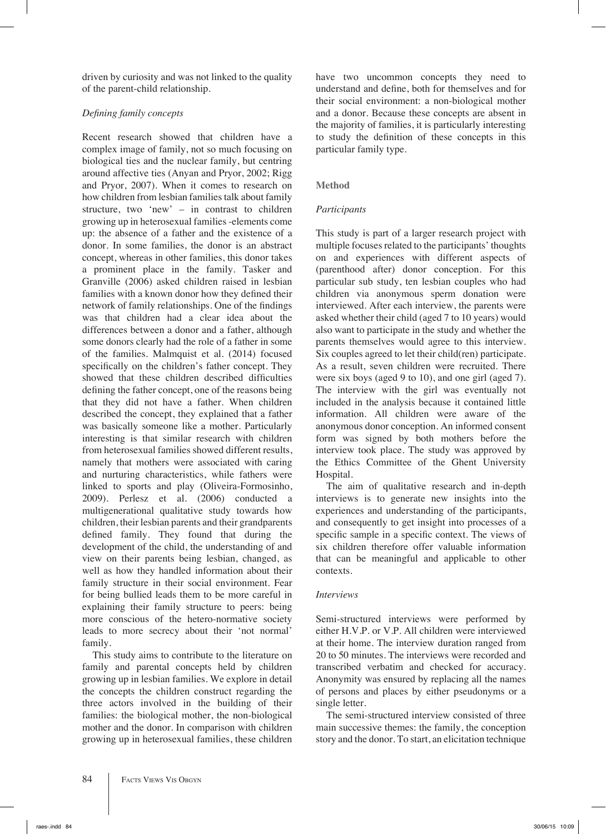driven by curiosity and was not linked to the quality of the parent-child relationship.

# *Defining family concepts*

Recent research showed that children have a complex image of family, not so much focusing on biological ties and the nuclear family, but centring around affective ties (Anyan and Pryor, 2002; Rigg and Pryor, 2007). When it comes to research on how children from lesbian families talk about family structure, two 'new' – in contrast to children growing up in heterosexual families -elements come up: the absence of a father and the existence of a donor. In some families, the donor is an abstract concept, whereas in other families, this donor takes a prominent place in the family. Tasker and Granville (2006) asked children raised in lesbian families with a known donor how they defined their network of family relationships. One of the findings was that children had a clear idea about the differences between a donor and a father, although some donors clearly had the role of a father in some of the families. Malmquist et al. (2014) focused specifically on the children's father concept. They showed that these children described difficulties defining the father concept, one of the reasons being that they did not have a father. When children described the concept, they explained that a father was basically someone like a mother. Particularly interesting is that similar research with children from heterosexual families showed different results, namely that mothers were associated with caring and nurturing characteristics, while fathers were linked to sports and play (Oliveira-Formosinho, 2009). Perlesz et al. (2006) conducted a multigenerational qualitative study towards how children, their lesbian parents and their grandparents defined family. They found that during the development of the child, the understanding of and view on their parents being lesbian, changed, as well as how they handled information about their family structure in their social environment. Fear for being bullied leads them to be more careful in explaining their family structure to peers: being more conscious of the hetero-normative society leads to more secrecy about their 'not normal' family.

This study aims to contribute to the literature on family and parental concepts held by children growing up in lesbian families. We explore in detail the concepts the children construct regarding the three actors involved in the building of their families: the biological mother, the non-biological mother and the donor. In comparison with children growing up in heterosexual families, these children have two uncommon concepts they need to understand and define, both for themselves and for their social environment: a non-biological mother and a donor. Because these concepts are absent in the majority of families, it is particularly interesting to study the definition of these concepts in this particular family type.

# **Method**

# *Participants*

This study is part of a larger research project with multiple focuses related to the participants' thoughts on and experiences with different aspects of (parenthood after) donor conception. For this particular sub study, ten lesbian couples who had children via anonymous sperm donation were interviewed. After each interview, the parents were asked whether their child (aged 7 to 10 years) would also want to participate in the study and whether the parents themselves would agree to this interview. Six couples agreed to let their child(ren) participate. As a result, seven children were recruited. There were six boys (aged 9 to 10), and one girl (aged 7). The interview with the girl was eventually not included in the analysis because it contained little information. All children were aware of the anonymous donor conception. An informed consent form was signed by both mothers before the interview took place. The study was approved by the Ethics Committee of the Ghent University Hospital.

The aim of qualitative research and in-depth interviews is to generate new insights into the experiences and understanding of the participants, and consequently to get insight into processes of a specific sample in a specific context. The views of six children therefore offer valuable information that can be meaningful and applicable to other contexts.

## *Interviews*

Semi-structured interviews were performed by either H.V.P. or V.P. All children were interviewed at their home. The interview duration ranged from 20 to 50 minutes. The interviews were recorded and transcribed verbatim and checked for accuracy. Anonymity was ensured by replacing all the names of persons and places by either pseudonyms or a single letter.

The semi-structured interview consisted of three main successive themes: the family, the conception story and the donor. To start, an elicitation technique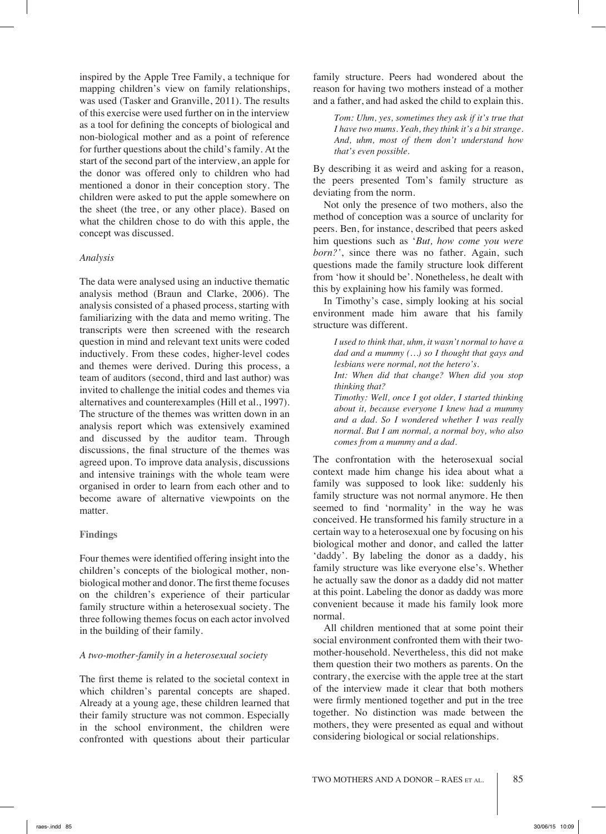inspired by the Apple Tree Family, a technique for mapping children's view on family relationships, was used (Tasker and Granville, 2011). The results of this exercise were used further on in the interview as a tool for defining the concepts of biological and non-biological mother and as a point of reference for further questions about the child's family. At the start of the second part of the interview, an apple for the donor was offered only to children who had mentioned a donor in their conception story. The children were asked to put the apple somewhere on the sheet (the tree, or any other place). Based on what the children chose to do with this apple, the concept was discussed.

#### *Analysis*

The data were analysed using an inductive thematic analysis method (Braun and Clarke, 2006). The analysis consisted of a phased process, starting with familiarizing with the data and memo writing. The transcripts were then screened with the research question in mind and relevant text units were coded inductively. From these codes, higher-level codes and themes were derived. During this process, a team of auditors (second, third and last author) was invited to challenge the initial codes and themes via alternatives and counterexamples (Hill et al., 1997). The structure of the themes was written down in an analysis report which was extensively examined and discussed by the auditor team. Through discussions, the final structure of the themes was agreed upon. To improve data analysis, discussions and intensive trainings with the whole team were organised in order to learn from each other and to become aware of alternative viewpoints on the matter.

#### **Findings**

Four themes were identified offering insight into the children's concepts of the biological mother, nonbiological mother and donor. The first theme focuses on the children's experience of their particular family structure within a heterosexual society. The three following themes focus on each actor involved in the building of their family.

#### *A two-mother-family in a heterosexual society*

The first theme is related to the societal context in which children's parental concepts are shaped. Already at a young age, these children learned that their family structure was not common. Especially in the school environment, the children were confronted with questions about their particular family structure. Peers had wondered about the reason for having two mothers instead of a mother and a father, and had asked the child to explain this.

*Tom: Uhm, yes, sometimes they ask if it's true that I have two mums. Yeah, they think it's a bit strange. And, uhm, most of them don't understand how that's even possible.*

By describing it as weird and asking for a reason, the peers presented Tom's family structure as deviating from the norm.

Not only the presence of two mothers, also the method of conception was a source of unclarity for peers. Ben, for instance, described that peers asked him questions such as '*But, how come you were born?'*, since there was no father. Again, such questions made the family structure look different from 'how it should be'. Nonetheless, he dealt with this by explaining how his family was formed.

In Timothy's case, simply looking at his social environment made him aware that his family structure was different.

*I used to think that, uhm, it wasn't normal to have a dad and a mummy (…) so I thought that gays and lesbians were normal, not the hetero's.* 

*Int: When did that change? When did you stop thinking that?*

*Timothy: Well, once I got older, I started thinking about it, because everyone I knew had a mummy and a dad. So I wondered whether I was really normal. But I am normal, a normal boy, who also comes from a mummy and a dad.*

The confrontation with the heterosexual social context made him change his idea about what a family was supposed to look like: suddenly his family structure was not normal anymore. He then seemed to find 'normality' in the way he was conceived. He transformed his family structure in a certain way to a heterosexual one by focusing on his biological mother and donor, and called the latter 'daddy'. By labeling the donor as a daddy, his family structure was like everyone else's. Whether he actually saw the donor as a daddy did not matter at this point. Labeling the donor as daddy was more convenient because it made his family look more normal.

All children mentioned that at some point their social environment confronted them with their twomother-household. Nevertheless, this did not make them question their two mothers as parents. On the contrary, the exercise with the apple tree at the start of the interview made it clear that both mothers were firmly mentioned together and put in the tree together. No distinction was made between the mothers, they were presented as equal and without considering biological or social relationships.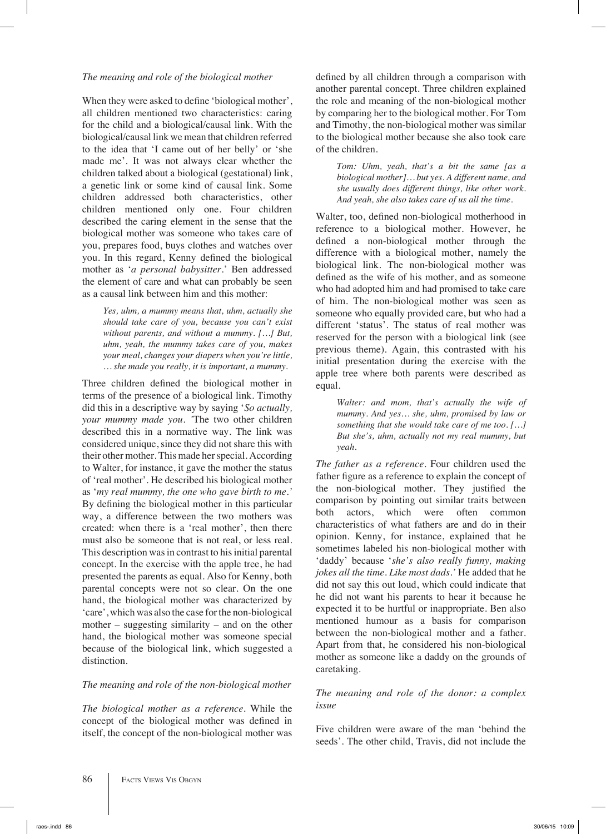## *The meaning and role of the biological mother*

When they were asked to define 'biological mother', all children mentioned two characteristics: caring for the child and a biological/causal link. With the biological/causal link we mean that children referred to the idea that 'I came out of her belly' or 'she made me'. It was not always clear whether the children talked about a biological (gestational) link, a genetic link or some kind of causal link. Some children addressed both characteristics, other children mentioned only one. Four children described the caring element in the sense that the biological mother was someone who takes care of you, prepares food, buys clothes and watches over you. In this regard, Kenny defined the biological mother as '*a personal babysitter.*' Ben addressed the element of care and what can probably be seen as a causal link between him and this mother:

*Yes, uhm, a mummy means that, uhm, actually she should take care of you, because you can't exist without parents, and without a mummy. […] But, uhm, yeah, the mummy takes care of you, makes your meal, changes your diapers when you're little, … she made you really, it is important, a mummy.*

Three children defined the biological mother in terms of the presence of a biological link. Timothy did this in a descriptive way by saying '*So actually, your mummy made you. '*The two other children described this in a normative way. The link was considered unique, since they did not share this with their other mother. This made her special. According to Walter, for instance, it gave the mother the status of 'real mother'. He described his biological mother as '*my real mummy, the one who gave birth to me.'*  By defining the biological mother in this particular way, a difference between the two mothers was created: when there is a 'real mother', then there must also be someone that is not real, or less real. This description was in contrast to his initial parental concept. In the exercise with the apple tree, he had presented the parents as equal. Also for Kenny, both parental concepts were not so clear. On the one hand, the biological mother was characterized by 'care', which was also the case for the non-biological mother – suggesting similarity – and on the other hand, the biological mother was someone special because of the biological link, which suggested a distinction.

# *The meaning and role of the non-biological mother*

*The biological mother as a reference.* While the concept of the biological mother was defined in itself, the concept of the non-biological mother was defined by all children through a comparison with another parental concept. Three children explained the role and meaning of the non-biological mother by comparing her to the biological mother. For Tom and Timothy, the non-biological mother was similar to the biological mother because she also took care of the children.

*Tom: Uhm, yeah, that's a bit the same [as a biological mother]… but yes. A different name, and she usually does different things, like other work. And yeah, she also takes care of us all the time.*

Walter, too, defined non-biological motherhood in reference to a biological mother. However, he defined a non-biological mother through the difference with a biological mother, namely the biological link. The non-biological mother was defined as the wife of his mother, and as someone who had adopted him and had promised to take care of him. The non-biological mother was seen as someone who equally provided care, but who had a different 'status'. The status of real mother was reserved for the person with a biological link (see previous theme). Again, this contrasted with his initial presentation during the exercise with the apple tree where both parents were described as equal.

*Walter: and mom, that's actually the wife of mummy. And yes… she, uhm, promised by law or something that she would take care of me too. […] But she's, uhm, actually not my real mummy, but yeah.*

*The father as a reference.* Four children used the father figure as a reference to explain the concept of the non-biological mother. They justified the comparison by pointing out similar traits between both actors, which were often common characteristics of what fathers are and do in their opinion. Kenny, for instance, explained that he sometimes labeled his non-biological mother with 'daddy' because '*she's also really funny, making jokes all the time. Like most dads.'* He added that he did not say this out loud, which could indicate that he did not want his parents to hear it because he expected it to be hurtful or inappropriate. Ben also mentioned humour as a basis for comparison between the non-biological mother and a father. Apart from that, he considered his non-biological mother as someone like a daddy on the grounds of caretaking.

# *The meaning and role of the donor: a complex issue*

Five children were aware of the man 'behind the seeds'. The other child, Travis, did not include the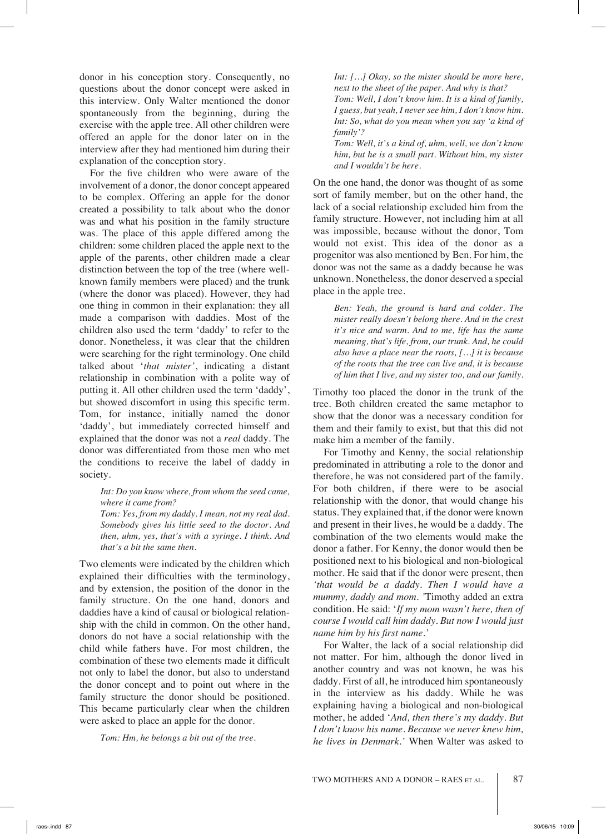donor in his conception story. Consequently, no questions about the donor concept were asked in this interview. Only Walter mentioned the donor spontaneously from the beginning, during the exercise with the apple tree. All other children were offered an apple for the donor later on in the interview after they had mentioned him during their explanation of the conception story.

For the five children who were aware of the involvement of a donor, the donor concept appeared to be complex. Offering an apple for the donor created a possibility to talk about who the donor was and what his position in the family structure was. The place of this apple differed among the children: some children placed the apple next to the apple of the parents, other children made a clear distinction between the top of the tree (where wellknown family members were placed) and the trunk (where the donor was placed). However, they had one thing in common in their explanation: they all made a comparison with daddies. Most of the children also used the term 'daddy' to refer to the donor. Nonetheless, it was clear that the children were searching for the right terminology. One child talked about '*that mister'*, indicating a distant relationship in combination with a polite way of putting it. All other children used the term 'daddy', but showed discomfort in using this specific term. Tom, for instance, initially named the donor 'daddy', but immediately corrected himself and explained that the donor was not a *real* daddy. The donor was differentiated from those men who met the conditions to receive the label of daddy in society.

*Int: Do you know where, from whom the seed came, where it came from?*

*Tom: Yes, from my daddy. I mean, not my real dad. Somebody gives his little seed to the doctor. And then, uhm, yes, that's with a syringe. I think. And that's a bit the same then.*

Two elements were indicated by the children which explained their difficulties with the terminology, and by extension, the position of the donor in the family structure. On the one hand, donors and daddies have a kind of causal or biological relationship with the child in common. On the other hand, donors do not have a social relationship with the child while fathers have. For most children, the combination of these two elements made it difficult not only to label the donor, but also to understand the donor concept and to point out where in the family structure the donor should be positioned. This became particularly clear when the children were asked to place an apple for the donor.

*Tom: Hm, he belongs a bit out of the tree.*

*Int: […] Okay, so the mister should be more here, next to the sheet of the paper. And why is that? Tom: Well, I don't know him. It is a kind of family, I guess, but yeah, I never see him, I don't know him. Int: So, what do you mean when you say 'a kind of family'? Tom: Well, it's a kind of, uhm, well, we don't know* 

*him, but he is a small part. Without him, my sister and I wouldn't be here.* 

On the one hand, the donor was thought of as some sort of family member, but on the other hand, the lack of a social relationship excluded him from the family structure. However, not including him at all was impossible, because without the donor, Tom would not exist. This idea of the donor as a progenitor was also mentioned by Ben. For him, the donor was not the same as a daddy because he was unknown. Nonetheless, the donor deserved a special place in the apple tree.

*Ben: Yeah, the ground is hard and colder. The mister really doesn't belong there. And in the crest it's nice and warm. And to me, life has the same meaning, that's life, from, our trunk. And, he could also have a place near the roots, […] it is because of the roots that the tree can live and, it is because of him that I live, and my sister too, and our family.* 

Timothy too placed the donor in the trunk of the tree. Both children created the same metaphor to show that the donor was a necessary condition for them and their family to exist, but that this did not make him a member of the family.

For Timothy and Kenny, the social relationship predominated in attributing a role to the donor and therefore, he was not considered part of the family. For both children, if there were to be asocial relationship with the donor, that would change his status. They explained that, if the donor were known and present in their lives, he would be a daddy. The combination of the two elements would make the donor a father. For Kenny, the donor would then be positioned next to his biological and non-biological mother. He said that if the donor were present, then *'that would be a daddy. Then I would have a mummy, daddy and mom. '*Timothy added an extra condition. He said: '*If my mom wasn't here, then of course I would call him daddy. But now I would just name him by his first name.'*

For Walter, the lack of a social relationship did not matter. For him, although the donor lived in another country and was not known, he was his daddy. First of all, he introduced him spontaneously in the interview as his daddy. While he was explaining having a biological and non-biological mother, he added '*And, then there's my daddy. But I don't know his name. Because we never knew him, he lives in Denmark.'* When Walter was asked to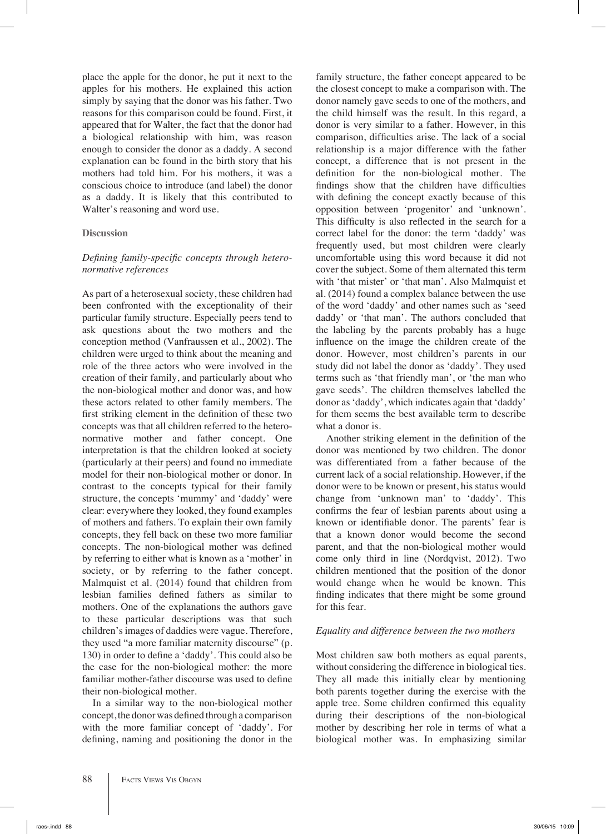place the apple for the donor, he put it next to the apples for his mothers. He explained this action simply by saying that the donor was his father. Two reasons for this comparison could be found. First, it appeared that for Walter, the fact that the donor had a biological relationship with him, was reason enough to consider the donor as a daddy. A second explanation can be found in the birth story that his mothers had told him. For his mothers, it was a conscious choice to introduce (and label) the donor as a daddy. It is likely that this contributed to Walter's reasoning and word use.

#### **Discussion**

## *Defining family-specific concepts through heteronormative references*

As part of a heterosexual society, these children had been confronted with the exceptionality of their particular family structure. Especially peers tend to ask questions about the two mothers and the conception method (Vanfraussen et al., 2002). The children were urged to think about the meaning and role of the three actors who were involved in the creation of their family, and particularly about who the non-biological mother and donor was, and how these actors related to other family members. The first striking element in the definition of these two concepts was that all children referred to the heteronormative mother and father concept. One interpretation is that the children looked at society (particularly at their peers) and found no immediate model for their non-biological mother or donor. In contrast to the concepts typical for their family structure, the concepts 'mummy' and 'daddy' were clear: everywhere they looked, they found examples of mothers and fathers. To explain their own family concepts, they fell back on these two more familiar concepts. The non-biological mother was defined by referring to either what is known as a 'mother' in society, or by referring to the father concept. Malmquist et al. (2014) found that children from lesbian families defined fathers as similar to mothers. One of the explanations the authors gave to these particular descriptions was that such children's images of daddies were vague. Therefore, they used "a more familiar maternity discourse" (p. 130) in order to define a 'daddy'. This could also be the case for the non-biological mother: the more familiar mother-father discourse was used to define their non-biological mother.

In a similar way to the non-biological mother concept, the donor was defined through a comparison with the more familiar concept of 'daddy'. For defining, naming and positioning the donor in the family structure, the father concept appeared to be the closest concept to make a comparison with. The donor namely gave seeds to one of the mothers, and the child himself was the result. In this regard, a donor is very similar to a father. However, in this comparison, difficulties arise. The lack of a social relationship is a major difference with the father concept, a difference that is not present in the definition for the non-biological mother. The findings show that the children have difficulties with defining the concept exactly because of this opposition between 'progenitor' and 'unknown'. This difficulty is also reflected in the search for a correct label for the donor: the term 'daddy' was frequently used, but most children were clearly uncomfortable using this word because it did not cover the subject. Some of them alternated this term with 'that mister' or 'that man'. Also Malmquist et al. (2014) found a complex balance between the use of the word 'daddy' and other names such as 'seed daddy' or 'that man'. The authors concluded that the labeling by the parents probably has a huge influence on the image the children create of the donor. However, most children's parents in our study did not label the donor as 'daddy'. They used terms such as 'that friendly man', or 'the man who gave seeds'. The children themselves labelled the donor as 'daddy', which indicates again that 'daddy' for them seems the best available term to describe what a donor is.

Another striking element in the definition of the donor was mentioned by two children. The donor was differentiated from a father because of the current lack of a social relationship. However, if the donor were to be known or present, his status would change from 'unknown man' to 'daddy'. This confirms the fear of lesbian parents about using a known or identifiable donor. The parents' fear is that a known donor would become the second parent, and that the non-biological mother would come only third in line (Nordqvist, 2012). Two children mentioned that the position of the donor would change when he would be known. This finding indicates that there might be some ground for this fear.

## *Equality and difference between the two mothers*

Most children saw both mothers as equal parents, without considering the difference in biological ties. They all made this initially clear by mentioning both parents together during the exercise with the apple tree. Some children confirmed this equality during their descriptions of the non-biological mother by describing her role in terms of what a biological mother was. In emphasizing similar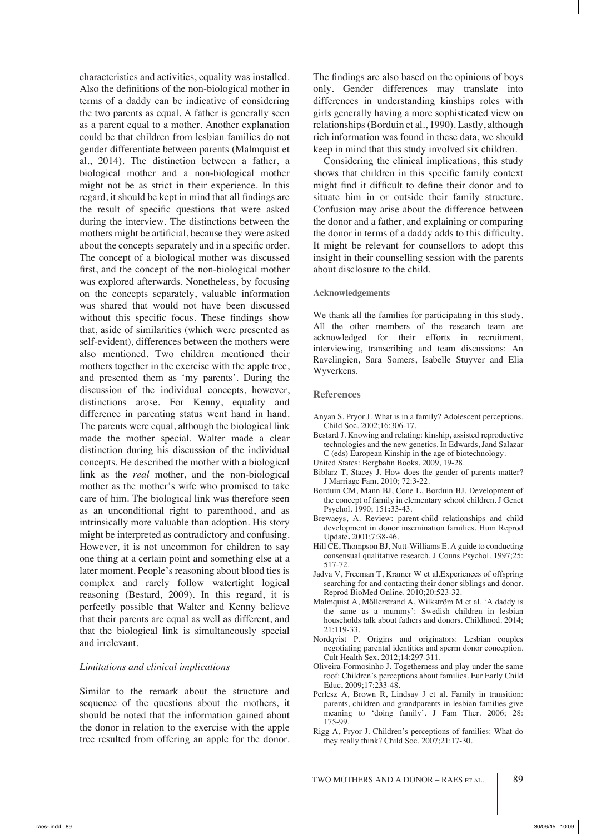characteristics and activities, equality was installed. Also the definitions of the non-biological mother in terms of a daddy can be indicative of considering the two parents as equal. A father is generally seen as a parent equal to a mother. Another explanation could be that children from lesbian families do not gender differentiate between parents (Malmquist et al., 2014). The distinction between a father, a biological mother and a non-biological mother might not be as strict in their experience. In this regard, it should be kept in mind that all findings are the result of specific questions that were asked during the interview. The distinctions between the mothers might be artificial, because they were asked about the concepts separately and in a specific order. The concept of a biological mother was discussed first, and the concept of the non-biological mother was explored afterwards. Nonetheless, by focusing on the concepts separately, valuable information was shared that would not have been discussed without this specific focus. These findings show that, aside of similarities (which were presented as self-evident), differences between the mothers were also mentioned. Two children mentioned their mothers together in the exercise with the apple tree, and presented them as 'my parents'. During the discussion of the individual concepts, however, distinctions arose. For Kenny, equality and difference in parenting status went hand in hand. The parents were equal, although the biological link made the mother special. Walter made a clear distinction during his discussion of the individual concepts. He described the mother with a biological link as the *real* mother, and the non-biological mother as the mother's wife who promised to take care of him. The biological link was therefore seen as an unconditional right to parenthood, and as intrinsically more valuable than adoption. His story might be interpreted as contradictory and confusing. However, it is not uncommon for children to say one thing at a certain point and something else at a later moment. People's reasoning about blood ties is complex and rarely follow watertight logical reasoning (Bestard, 2009). In this regard, it is perfectly possible that Walter and Kenny believe that their parents are equal as well as different, and that the biological link is simultaneously special and irrelevant.

#### *Limitations and clinical implications*

Similar to the remark about the structure and sequence of the questions about the mothers, it should be noted that the information gained about the donor in relation to the exercise with the apple tree resulted from offering an apple for the donor.

The findings are also based on the opinions of boys only. Gender differences may translate into differences in understanding kinships roles with girls generally having a more sophisticated view on relationships (Borduin et al., 1990). Lastly, although rich information was found in these data, we should keep in mind that this study involved six children.

Considering the clinical implications, this study shows that children in this specific family context might find it difficult to define their donor and to situate him in or outside their family structure. Confusion may arise about the difference between the donor and a father, and explaining or comparing the donor in terms of a daddy adds to this difficulty. It might be relevant for counsellors to adopt this insight in their counselling session with the parents about disclosure to the child.

#### **Acknowledgements**

We thank all the families for participating in this study. All the other members of the research team are acknowledged for their efforts in recruitment, interviewing, transcribing and team discussions: An Ravelingien, Sara Somers, Isabelle Stuyver and Elia Wyverkens.

#### **References**

- Anyan S, Pryor J. What is in a family? Adolescent perceptions. Child Soc*.* 2002;16:306-17.
- Bestard J. Knowing and relating: kinship, assisted reproductive technologies and the new genetics. In Edwards, Jand Salazar C (eds) European Kinship in the age of biotechnology*.*
- United States: Bergbahn Books, 2009, 19-28.
- Biblarz T, Stacey J. How does the gender of parents matter? J Marriage Fam. 2010; 72:3-22.
- Borduin CM, Mann BJ, Cone L, Borduin BJ. Development of the concept of family in elementary school children. J Genet Psychol. 1990; 151**:**33-43.
- Brewaeys, A. Review: parent-child relationships and child development in donor insemination families. Hum Reprod Update**.** 2001;7:38-46.
- Hill CE, Thompson BJ, Nutt-Williams E. A guide to conducting consensual qualitative research. J Couns Psychol. 1997;25: 517-72.
- Jadva V, Freeman T, Kramer W et al*.*Experiences of offspring searching for and contacting their donor siblings and donor. Reprod BioMed Online. 2010;20:523-32.
- Malmquist A, Möllerstrand A, Wilkström M et al. 'A daddy is the same as a mummy': Swedish children in lesbian households talk about fathers and donors. Childhood. 2014; 21:119-33.
- Nordqvist P. Origins and originators: Lesbian couples negotiating parental identities and sperm donor conception. Cult Health Sex. 2012;14:297-311.
- Oliveira-Formosinho J. Togetherness and play under the same roof: Children's perceptions about families. Eur Early Child Educ**.** 2009;17:233-48.
- Perlesz A, Brown R, Lindsay J et al. Family in transition: parents, children and grandparents in lesbian families give meaning to 'doing family'. J Fam Ther*.* 2006; 28: 175-99.
- Rigg A, Pryor J. Children's perceptions of families: What do they really think? Child Soc. 2007;21:17-30.